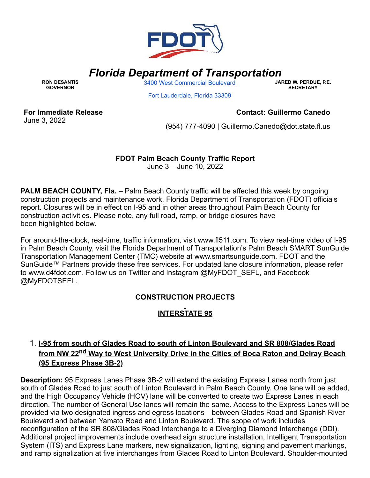

# *Florida Department of Transportation*

**RON DESANTIS GOVERNOR**

3400 West [Commercial](https://www.google.com/maps/search/3400+West+Commercial+Boulevard+%0D%0A+%0D%0A+Fort+Lauderdale,+Florida+33309?entry=gmail&source=g) Boulevard

**JARED W. PERDUE, P.E. SECRETARY**

Fort [Lauderdale,](https://www.google.com/maps/search/3400+West+Commercial+Boulevard+%0D%0A+%0D%0A+Fort+Lauderdale,+Florida+33309?entry=gmail&source=g) Florida 33309

**For Immediate Release** June 3, 2022

#### **Contact: Guillermo Canedo**

(954) 777-4090 | [Guillermo.Canedo@dot.state.fl.us](mailto:Guillermo.Canedo@dot.state.fl.us)

# **FDOT Palm Beach County Traffic Report**

June 3 – June 10, 2022

**PALM BEACH COUNTY, Fla.** – Palm Beach County traffic will be affected this week by ongoing construction projects and maintenance work, Florida Department of Transportation (FDOT) officials report. Closures will be in effect on I-95 and in other areas throughout Palm Beach County for construction activities. Please note, any full road, ramp, or bridge closures have been highlighted below.

For around-the-clock, real-time, traffic information, visit [www.fl511.com](https://gcc02.safelinks.protection.outlook.com/?url=http%3A%2F%2Fwww.fl511.com%2F&data=05%7C01%7Cguillermo.canedo%40dot.state.fl.us%7C526cd4de1b994d327cd108da457bd999%7Cdb21de5dbc9c420c8f3f8f08f85b5ada%7C0%7C0%7C637898695545428370%7CUnknown%7CTWFpbGZsb3d8eyJWIjoiMC4wLjAwMDAiLCJQIjoiV2luMzIiLCJBTiI6Ik1haWwiLCJXVCI6Mn0%3D%7C3000%7C%7C%7C&sdata=hcMi3fopiILxAQ%2BGE9n9zmrxwdUnJcGARDirLg4veJU%3D&reserved=0). To view real-time video of I-95 in Palm Beach County, visit the Florida Department of Transportation's Palm Beach SMART SunGuide Transportation Management Center (TMC) website at [www.smartsunguide.com](https://gcc02.safelinks.protection.outlook.com/?url=http%3A%2F%2Fwww.smartsunguide.com%2F&data=05%7C01%7Cguillermo.canedo%40dot.state.fl.us%7C526cd4de1b994d327cd108da457bd999%7Cdb21de5dbc9c420c8f3f8f08f85b5ada%7C0%7C0%7C637898695545428370%7CUnknown%7CTWFpbGZsb3d8eyJWIjoiMC4wLjAwMDAiLCJQIjoiV2luMzIiLCJBTiI6Ik1haWwiLCJXVCI6Mn0%3D%7C3000%7C%7C%7C&sdata=fxeYHCUoraeAnbdhG8VsAB7XUmcwxdGmgUWw7cK0rNk%3D&reserved=0). FDOT and the SunGuide™ Partners provide these free services. For updated lane closure information, please refer to [www.d4fdot.com](https://gcc02.safelinks.protection.outlook.com/?url=http%3A%2F%2Fwww.d4fdot.com%2F&data=05%7C01%7Cguillermo.canedo%40dot.state.fl.us%7C526cd4de1b994d327cd108da457bd999%7Cdb21de5dbc9c420c8f3f8f08f85b5ada%7C0%7C0%7C637898695545428370%7CUnknown%7CTWFpbGZsb3d8eyJWIjoiMC4wLjAwMDAiLCJQIjoiV2luMzIiLCJBTiI6Ik1haWwiLCJXVCI6Mn0%3D%7C3000%7C%7C%7C&sdata=f6VSLqhYIMCgr41VjWgtRazR5%2BDHPqbsOmIq5ogzabQ%3D&reserved=0). Follow us on Twitter and Instagram @MyFDOT\_SEFL, and Facebook @MyFDOTSEFL.

### **CONSTRUCTION PROJECTS**

# **INTERSTATE 95**

# 1. **I-95 from south of Glades Road to south of Linton Boulevard and SR 808/Glades Road from NW 22nd Way to West University Drive in the Cities of Boca Raton and Delray Beach (95 Express Phase 3B-2)**

**Description:** 95 Express Lanes Phase 3B-2 will extend the existing Express Lanes north from just south of Glades Road to just south of Linton Boulevard in Palm Beach County. One lane will be added, and the High Occupancy Vehicle (HOV) lane will be converted to create two Express Lanes in each direction. The number of General Use lanes will remain the same. Access to the Express Lanes will be provided via two designated ingress and egress locations—between Glades Road and Spanish River Boulevard and between Yamato Road and Linton Boulevard. The scope of work includes reconfiguration of the SR 808/Glades Road Interchange to a Diverging Diamond Interchange (DDI). Additional project improvements include overhead sign structure installation, Intelligent Transportation System (ITS) and Express Lane markers, new signalization, lighting, signing and pavement markings, and ramp signalization at five interchanges from Glades Road to Linton Boulevard. Shoulder-mounted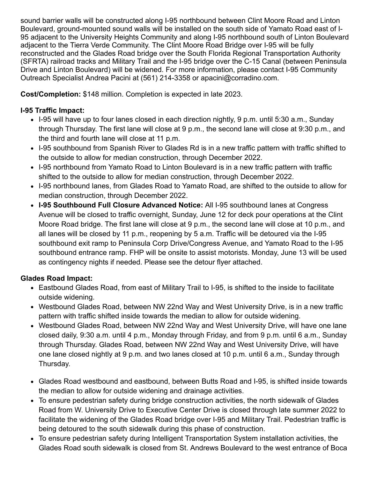sound barrier walls will be constructed along I-95 northbound between Clint Moore Road and Linton Boulevard, ground-mounted sound walls will be installed on the south side of Yamato Road east of I-95 adjacent to the University Heights Community and along I-95 northbound south of Linton Boulevard adjacent to the Tierra Verde Community. The Clint Moore Road Bridge over I-95 will be fully reconstructed and the Glades Road bridge over the South Florida Regional Transportation Authority (SFRTA) railroad tracks and Military Trail and the I-95 bridge over the C-15 Canal (between Peninsula Drive and Linton Boulevard) will be widened. For more information, please contact I-95 Community Outreach Specialist Andrea Pacini at (561) 214-3358 or [apacini@corradino.com.](mailto:apacini@corradino.com)

**Cost/Completion:** \$148 million. Completion is expected in late 2023.

## **I-95 Traffic Impact:**

- I-95 will have up to four lanes closed in each direction nightly, 9 p.m. until 5:30 a.m., Sunday through Thursday. The first lane will close at 9 p.m., the second lane will close at 9:30 p.m., and the third and fourth lane will close at 11 p.m.
- I-95 southbound from Spanish River to Glades Rd is in a new traffic pattern with traffic shifted to the outside to allow for median construction, through December 2022.
- I-95 northbound from Yamato Road to Linton Boulevard is in a new traffic pattern with traffic shifted to the outside to allow for median construction, through December 2022.
- I-95 northbound lanes, from Glades Road to Yamato Road, are shifted to the outside to allow for median construction, through December 2022.
- **I-95 Southbound Full Closure Advanced Notice:** All I-95 southbound lanes at Congress Avenue will be closed to traffic overnight, Sunday, June 12 for deck pour operations at the Clint Moore Road bridge. The first lane will close at 9 p.m., the second lane will close at 10 p.m., and all lanes will be closed by 11 p.m., reopening by 5 a.m. Traffic will be detoured via the I-95 southbound exit ramp to Peninsula Corp Drive/Congress Avenue, and Yamato Road to the I-95 southbound entrance ramp. FHP will be onsite to assist motorists. Monday, June 13 will be used as contingency nights if needed. Please see the detour flyer attached.

# **Glades Road Impact:**

- Eastbound Glades Road, from east of Military Trail to I-95, is shifted to the inside to facilitate outside widening.
- Westbound Glades Road, between NW 22nd Way and West University Drive, is in a new traffic pattern with traffic shifted inside towards the median to allow for outside widening.
- Westbound Glades Road, between NW 22nd Way and West University Drive, will have one lane closed daily, 9:30 a.m. until 4 p.m., Monday through Friday, and from 9 p.m. until 6 a.m., Sunday through Thursday. Glades Road, between NW 22nd Way and West University Drive, will have one lane closed nightly at 9 p.m. and two lanes closed at 10 p.m. until 6 a.m., Sunday through Thursday.
- Glades Road westbound and eastbound, between Butts Road and I-95, is shifted inside towards the median to allow for outside widening and drainage activities.
- To ensure pedestrian safety during bridge construction activities, the north sidewalk of Glades Road from W. University Drive to Executive Center Drive is closed through late summer 2022 to facilitate the widening of the Glades Road bridge over I-95 and Military Trail. Pedestrian traffic is being detoured to the south sidewalk during this phase of construction.
- To ensure pedestrian safety during Intelligent Transportation System installation activities, the Glades Road south sidewalk is closed from St. Andrews Boulevard to the west entrance of Boca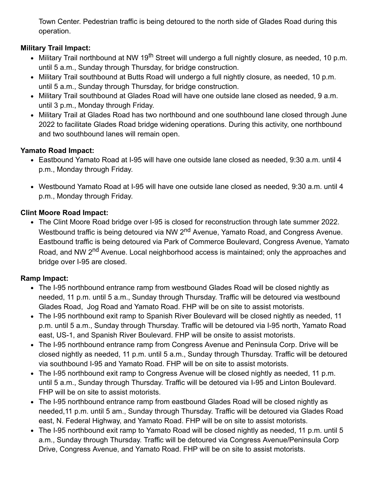Town Center. Pedestrian traffic is being detoured to the north side of Glades Road during this operation.

# **Military Trail Impact:**

- Military Trail northbound at NW 19<sup>th</sup> Street will undergo a full nightly closure, as needed, 10 p.m. until 5 a.m., Sunday through Thursday, for bridge construction.
- Military Trail southbound at Butts Road will undergo a full nightly closure, as needed, 10 p.m. until 5 a.m., Sunday through Thursday, for bridge construction.
- Military Trail southbound at Glades Road will have one outside lane closed as needed, 9 a.m. until 3 p.m., Monday through Friday.
- Military Trail at Glades Road has two northbound and one southbound lane closed through June 2022 to facilitate Glades Road bridge widening operations. During this activity, one northbound and two southbound lanes will remain open.

### **Yamato Road Impact:**

- Eastbound Yamato Road at I-95 will have one outside lane closed as needed, 9:30 a.m. until 4 p.m., Monday through Friday.
- Westbound Yamato Road at I-95 will have one outside lane closed as needed, 9:30 a.m. until 4 p.m., Monday through Friday.

#### **Clint Moore Road Impact:**

The Clint Moore Road bridge over I-95 is closed for reconstruction through late summer 2022. Westbound traffic is being detoured via NW 2<sup>nd</sup> Avenue, Yamato Road, and Congress Avenue. Eastbound traffic is being detoured via Park of Commerce Boulevard, Congress Avenue, Yamato Road, and NW 2<sup>nd</sup> Avenue. Local neighborhood access is maintained; only the approaches and bridge over I-95 are closed.

### **Ramp Impact:**

- The I-95 northbound entrance ramp from westbound Glades Road will be closed nightly as needed, 11 p.m. until 5 a.m., Sunday through Thursday. Traffic will be detoured via westbound Glades Road, Jog Road and Yamato Road. FHP will be on site to assist motorists.
- The I-95 northbound exit ramp to Spanish River Boulevard will be closed nightly as needed, 11 p.m. until 5 a.m., Sunday through Thursday. Traffic will be detoured via I-95 north, Yamato Road east, US-1, and Spanish River Boulevard. FHP will be onsite to assist motorists.
- The I-95 northbound entrance ramp from Congress Avenue and Peninsula Corp. Drive will be closed nightly as needed, 11 p.m. until 5 a.m., Sunday through Thursday. Traffic will be detoured via southbound I-95 and Yamato Road. FHP will be on site to assist motorists.
- The I-95 northbound exit ramp to Congress Avenue will be closed nightly as needed, 11 p.m. until 5 a.m., Sunday through Thursday. Traffic will be detoured via I-95 and Linton Boulevard. FHP will be on site to assist motorists.
- The I-95 northbound entrance ramp from eastbound Glades Road will be closed nightly as needed,11 p.m. until 5 am., Sunday through Thursday. Traffic will be detoured via Glades Road east, N. Federal Highway, and Yamato Road. FHP will be on site to assist motorists.
- The I-95 northbound exit ramp to Yamato Road will be closed nightly as needed, 11 p.m. until 5 a.m., Sunday through Thursday. Traffic will be detoured via Congress Avenue/Peninsula Corp Drive, Congress Avenue, and Yamato Road. FHP will be on site to assist motorists.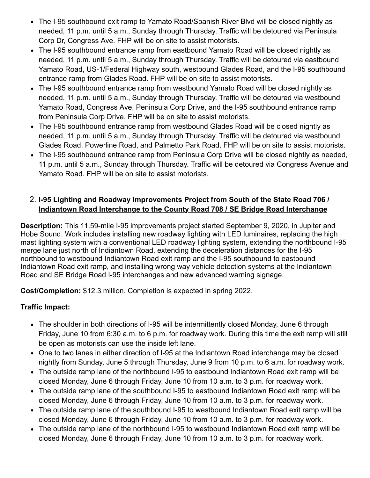- The I-95 southbound exit ramp to Yamato Road/Spanish River Blvd will be closed nightly as needed, 11 p.m. until 5 a.m., Sunday through Thursday. Traffic will be detoured via Peninsula Corp Dr, Congress Ave. FHP will be on site to assist motorists.
- The I-95 southbound entrance ramp from eastbound Yamato Road will be closed nightly as needed, 11 p.m. until 5 a.m., Sunday through Thursday. Traffic will be detoured via eastbound Yamato Road, US-1/Federal Highway south, westbound Glades Road, and the I-95 southbound entrance ramp from Glades Road. FHP will be on site to assist motorists.
- The I-95 southbound entrance ramp from westbound Yamato Road will be closed nightly as needed, 11 p.m. until 5 a.m., Sunday through Thursday. Traffic will be detoured via westbound Yamato Road, Congress Ave, Peninsula Corp Drive, and the I-95 southbound entrance ramp from Peninsula Corp Drive. FHP will be on site to assist motorists.
- The I-95 southbound entrance ramp from westbound Glades Road will be closed nightly as needed, 11 p.m. until 5 a.m., Sunday through Thursday. Traffic will be detoured via westbound Glades Road, Powerline Road, and Palmetto Park Road. FHP will be on site to assist motorists.
- The I-95 southbound entrance ramp from Peninsula Corp Drive will be closed nightly as needed, 11 p.m. until 5 a.m., Sunday through Thursday. Traffic will be detoured via Congress Avenue and Yamato Road. FHP will be on site to assist motorists.

### 2. **I-95 Lighting and Roadway Improvements Project from South of the State Road 706 / Indiantown Road Interchange to the County Road 708 / SE Bridge Road Interchange**

**Description:** This 11.59-mile I-95 improvements project started September 9, 2020, in Jupiter and Hobe Sound. Work includes installing new roadway lighting with LED luminaires, replacing the high mast lighting system with a conventional LED roadway lighting system, extending the northbound I-95 merge lane just north of Indiantown Road, extending the deceleration distances for the I-95 northbound to westbound Indiantown Road exit ramp and the I-95 southbound to eastbound Indiantown Road exit ramp, and installing wrong way vehicle detection systems at the Indiantown Road and SE Bridge Road I-95 interchanges and new advanced warning signage.

**Cost/Completion:** \$12.3 million. Completion is expected in spring 2022.

### **Traffic Impact:**

- The shoulder in both directions of I-95 will be intermittently closed Monday, June 6 through Friday, June 10 from 6:30 a.m. to 6 p.m. for roadway work. During this time the exit ramp will still be open as motorists can use the inside left lane.
- One to two lanes in either direction of I-95 at the Indiantown Road interchange may be closed nightly from Sunday, June 5 through Thursday, June 9 from 10 p.m. to 6 a.m. for roadway work.
- The outside ramp lane of the northbound I-95 to eastbound Indiantown Road exit ramp will be closed Monday, June 6 through Friday, June 10 from 10 a.m. to 3 p.m. for roadway work.
- The outside ramp lane of the southbound I-95 to eastbound Indiantown Road exit ramp will be closed Monday, June 6 through Friday, June 10 from 10 a.m. to 3 p.m. for roadway work.
- The outside ramp lane of the southbound I-95 to westbound Indiantown Road exit ramp will be closed Monday, June 6 through Friday, June 10 from 10 a.m. to 3 p.m. for roadway work.
- The outside ramp lane of the northbound I-95 to westbound Indiantown Road exit ramp will be closed Monday, June 6 through Friday, June 10 from 10 a.m. to 3 p.m. for roadway work.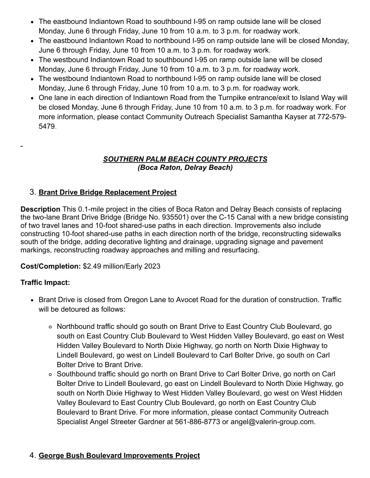- The eastbound Indiantown Road to southbound I-95 on ramp outside lane will be closed Monday, June 6 through Friday, June 10 from 10 a.m. to 3 p.m. for roadway work.
- The eastbound Indiantown Road to northbound I-95 on ramp outside lane will be closed Monday, June 6 through Friday, June 10 from 10 a.m. to 3 p.m. for roadway work.
- The westbound Indiantown Road to southbound I-95 on ramp outside lane will be closed Monday, June 6 through Friday, June 10 from 10 a.m. to 3 p.m. for roadway work.
- The westbound Indiantown Road to northbound I-95 on ramp outside lane will be closed Monday, June 6 through Friday, June 10 from 10 a.m. to 3 p.m. for roadway work.
- One lane in each direction of Indiantown Road from the Turnpike entrance/exit to Island Way will be closed Monday, June 6 through Friday, June 10 from 10 a.m. to 3 p.m. for roadway work. For more information, please contact Community Outreach Specialist Samantha Kayser at 772-579- 5479.

#### *SOUTHERN PALM BEACH COUNTY PROJECTS (Boca Raton, Delray Beach)*

# 3. **Brant Drive Bridge Replacement Project**

**Description** This 0.1-mile project in the cities of Boca Raton and Delray Beach consists of replacing the two-lane Brant Drive Bridge (Bridge No. 935501) over the C-15 Canal with a new bridge consisting of two travel lanes and 10-foot shared-use paths in each direction. Improvements also include constructing 10-foot shared-use paths in each direction north of the bridge, reconstructing sidewalks south of the bridge, adding decorative lighting and drainage, upgrading signage and pavement markings, reconstructing roadway approaches and milling and resurfacing.

#### **Cost/Completion:** \$2.49 million/Early 2023

#### **Traffic Impact:**

- Brant Drive is closed from Oregon Lane to Avocet Road for the duration of construction. Traffic will be detoured as follows:
	- Northbound traffic should go south on Brant Drive to East Country Club Boulevard, go south on East Country Club Boulevard to West Hidden Valley Boulevard, go east on West Hidden Valley Boulevard to North Dixie Highway, go north on North Dixie Highway to Lindell Boulevard, go west on Lindell Boulevard to Carl Bolter Drive, go south on Carl Bolter Drive to Brant Drive.
	- Southbound traffic should go north on Brant Drive to Carl Bolter Drive, go north on Carl Bolter Drive to Lindell Boulevard, go east on Lindell Boulevard to North Dixie Highway, go south on North Dixie Highway to West Hidden Valley Boulevard, go west on West Hidden Valley Boulevard to East Country Club Boulevard, go north on East Country Club Boulevard to Brant Drive. For more information, please contact Community Outreach Specialist Angel Streeter Gardner at 561-886-8773 or [angel@valerin-group.com.](mailto:angel@valerin-group.com)

### 4. **George Bush Boulevard Improvements Project**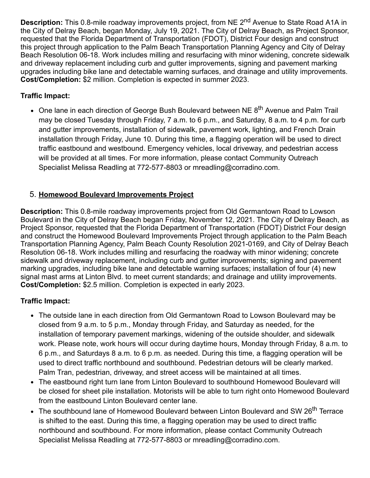**Description:** This 0.8-mile roadway improvements project, from NE 2<sup>nd</sup> Avenue to State Road A1A in the City of Delray Beach, began Monday, July 19, 2021. The City of Delray Beach, as Project Sponsor, requested that the Florida Department of Transportation (FDOT), District Four design and construct this project through application to the Palm Beach Transportation Planning Agency and City of Delray Beach Resolution 06-18. Work includes milling and resurfacing with minor widening, concrete sidewalk and driveway replacement including curb and gutter improvements, signing and pavement marking upgrades including bike lane and detectable warning surfaces, and drainage and utility improvements. **Cost/Completion:** \$2 million. Completion is expected in summer 2023.

### **Traffic Impact:**

• One lane in each direction of George Bush Boulevard between NE 8<sup>th</sup> Avenue and Palm Trail may be closed Tuesday through Friday, 7 a.m. to 6 p.m., and Saturday, 8 a.m. to 4 p.m. for curb and gutter improvements, installation of sidewalk, pavement work, lighting, and French Drain installation through Friday, June 10. During this time, a flagging operation will be used to direct traffic eastbound and westbound. Emergency vehicles, local driveway, and pedestrian access will be provided at all times. For more information, please contact Community Outreach Specialist Melissa Readling at 772-577-8803 or [mreadling@corradino.com](mailto:mreadling@corradino.com).

### 5. **Homewood Boulevard Improvements Project**

**Description:** This 0.8-mile roadway improvements project from Old Germantown Road to Lowson Boulevard in the City of Delray Beach began Friday, November 12, 2021. The City of Delray Beach, as Project Sponsor, requested that the Florida Department of Transportation (FDOT) District Four design and construct the Homewood Boulevard Improvements Project through application to the Palm Beach Transportation Planning Agency, Palm Beach County Resolution 2021-0169, and City of Delray Beach Resolution 06-18. Work includes milling and resurfacing the roadway with minor widening; concrete sidewalk and driveway replacement, including curb and gutter improvements; signing and pavement marking upgrades, including bike lane and detectable warning surfaces; installation of four (4) new signal mast arms at Linton Blvd. to meet current standards; and drainage and utility improvements. **Cost/Completion:** \$2.5 million. Completion is expected in early 2023.

### **Traffic Impact:**

- The outside lane in each direction from Old Germantown Road to Lowson Boulevard may be closed from 9 a.m. to 5 p.m., Monday through Friday, and Saturday as needed, for the installation of temporary pavement markings, widening of the outside shoulder, and sidewalk work. Please note, work hours will occur during daytime hours, Monday through Friday, 8 a.m. to 6 p.m., and Saturdays 8 a.m. to 6 p.m. as needed. During this time, a flagging operation will be used to direct traffic northbound and southbound. Pedestrian detours will be clearly marked. Palm Tran, pedestrian, driveway, and street access will be maintained at all times.
- The eastbound right turn lane from Linton Boulevard to southbound Homewood Boulevard will be closed for sheet pile installation. Motorists will be able to turn right onto Homewood Boulevard from the eastbound Linton Boulevard center lane.
- The southbound lane of Homewood Boulevard between Linton Boulevard and SW 26<sup>th</sup> Terrace is shifted to the east. During this time, a flagging operation may be used to direct traffic northbound and southbound. For more information, please contact Community Outreach Specialist Melissa Readling at 772-577-8803 or [mreadling@corradino.com](mailto:mreadling@corradino.com).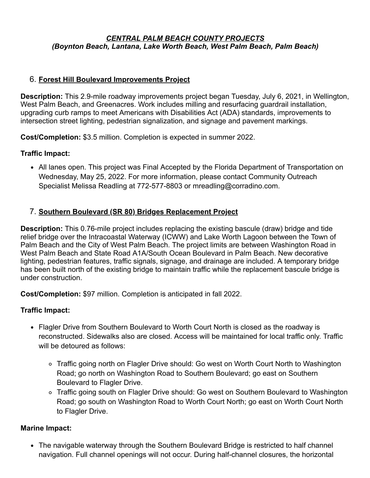#### *CENTRAL PALM BEACH COUNTY PROJECTS (Boynton Beach, Lantana, Lake Worth Beach, West Palm Beach, Palm Beach)*

#### 6. **Forest Hill Boulevard Improvements Project**

**Description:** This 2.9-mile roadway improvements project began Tuesday, July 6, 2021, in Wellington, West Palm Beach, and Greenacres. Work includes milling and resurfacing guardrail installation, upgrading curb ramps to meet Americans with Disabilities Act (ADA) standards, improvements to intersection street lighting, pedestrian signalization, and signage and pavement markings.

**Cost/Completion:** \$3.5 million. Completion is expected in summer 2022.

#### **Traffic Impact:**

All lanes open. This project was Final Accepted by the Florida Department of Transportation on Wednesday, May 25, 2022. For more information, please contact Community Outreach Specialist Melissa Readling at 772-577-8803 or [mreadling@corradino.com](mailto:mcruz@corradino.com).

#### 7. **Southern Boulevard (SR 80) Bridges Replacement Project**

**Description:** This 0.76-mile project includes replacing the existing bascule (draw) bridge and tide relief bridge over the Intracoastal Waterway (ICWW) and Lake Worth Lagoon between the Town of Palm Beach and the City of West Palm Beach. The project limits are between Washington Road in West Palm Beach and State Road A1A/South Ocean Boulevard in Palm Beach. New decorative lighting, pedestrian features, traffic signals, signage, and drainage are included. A temporary bridge has been built north of the existing bridge to maintain traffic while the replacement bascule bridge is under construction.

**Cost/Completion:** \$97 million. Completion is anticipated in fall 2022.

#### **Traffic Impact:**

- Flagler Drive from Southern Boulevard to Worth Court North is closed as the roadway is reconstructed. Sidewalks also are closed. Access will be maintained for local traffic only. Traffic will be detoured as follows:
	- Traffic going north on Flagler Drive should: Go west on Worth Court North to Washington Road; go north on Washington Road to Southern Boulevard; go east on Southern Boulevard to Flagler Drive.
	- Traffic going south on Flagler Drive should: Go west on Southern Boulevard to Washington Road; go south on Washington Road to Worth Court North; go east on Worth Court North to Flagler Drive.

#### **Marine Impact:**

• The navigable waterway through the Southern Boulevard Bridge is restricted to half channel navigation. Full channel openings will not occur. During half-channel closures, the horizontal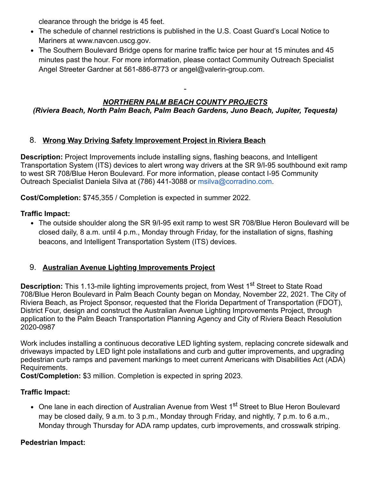clearance through the bridge is 45 feet.

- The schedule of channel restrictions is published in the U.S. Coast Guard's Local Notice to Mariners at [www.navcen.uscg.gov](https://gcc02.safelinks.protection.outlook.com/?url=http%3A%2F%2Fwww.navcen.uscg.gov%2F&data=05%7C01%7Cguillermo.canedo%40dot.state.fl.us%7C526cd4de1b994d327cd108da457bd999%7Cdb21de5dbc9c420c8f3f8f08f85b5ada%7C0%7C0%7C637898695545428370%7CUnknown%7CTWFpbGZsb3d8eyJWIjoiMC4wLjAwMDAiLCJQIjoiV2luMzIiLCJBTiI6Ik1haWwiLCJXVCI6Mn0%3D%7C3000%7C%7C%7C&sdata=cHV24YVYdl3OWj%2Fu5C0wg4kGcmvSvqeXxxGJmUXUUak%3D&reserved=0).
- The Southern Boulevard Bridge opens for marine traffic twice per hour at 15 minutes and 45 minutes past the hour. For more information, please contact Community Outreach Specialist Angel Streeter Gardner at 561-886-8773 or [angel@valerin-group.com.](mailto:angel@valerin-group.com)

#### *NORTHERN PALM BEACH COUNTY PROJECTS (Riviera Beach, North Palm Beach, Palm Beach Gardens, Juno Beach, Jupiter, Tequesta)*

### 8. **Wrong Way Driving Safety Improvement Project in Riviera Beach**

**Description:** Project Improvements include installing signs, flashing beacons, and Intelligent Transportation System (ITS) devices to alert wrong way drivers at the SR 9/I-95 southbound exit ramp to west SR 708/Blue Heron Boulevard. For more information, please contact I-95 Community Outreach Specialist Daniela Silva at (786) 441-3088 or [msilva@corradino.com](mailto:msilva@corradino.com).

**Cost/Completion:** \$745,355 / Completion is expected in summer 2022.

### **Traffic Impact:**

The outside shoulder along the SR 9/I-95 exit ramp to west SR 708/Blue Heron Boulevard will be closed daily, 8 a.m. until 4 p.m., Monday through Friday, for the installation of signs, flashing beacons, and Intelligent Transportation System (ITS) devices.

### 9. **Australian Avenue Lighting Improvements Project**

**Description:** This 1.13-mile lighting improvements project, from West 1<sup>st</sup> Street to State Road 708/Blue Heron Boulevard in Palm Beach County began on Monday, November 22, 2021. The City of Riviera Beach, as Project Sponsor, requested that the Florida Department of Transportation (FDOT), District Four, design and construct the Australian Avenue Lighting Improvements Project, through application to the Palm Beach Transportation Planning Agency and City of Riviera Beach Resolution 2020-0987

Work includes installing a continuous decorative LED lighting system, replacing concrete sidewalk and driveways impacted by LED light pole installations and curb and gutter improvements, and upgrading pedestrian curb ramps and pavement markings to meet current Americans with Disabilities Act (ADA) Requirements.

**Cost/Completion:** \$3 million. Completion is expected in spring 2023.

### **Traffic Impact:**

• One lane in each direction of Australian Avenue from West 1<sup>st</sup> Street to Blue Heron Boulevard may be closed daily, 9 a.m. to 3 p.m., Monday through Friday, and nightly, 7 p.m. to 6 a.m., Monday through Thursday for ADA ramp updates, curb improvements, and crosswalk striping.

### **Pedestrian Impact:**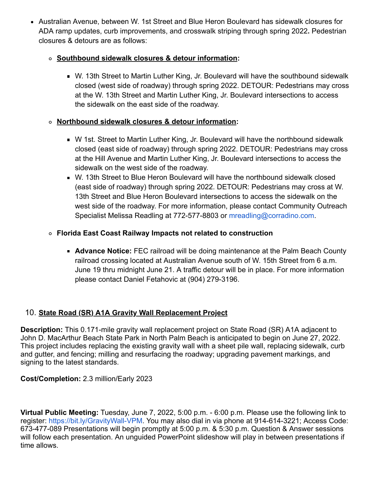Australian Avenue, between W. 1st Street and Blue Heron Boulevard has sidewalk closures for ADA ramp updates, curb improvements, and crosswalk striping through spring 2022**.** Pedestrian closures & detours are as follows:

### **Southbound sidewalk closures & detour information:**

■ W. 13th Street to Martin Luther King, Jr. Boulevard will have the southbound sidewalk closed (west side of roadway) through spring 2022. DETOUR: Pedestrians may cross at the W. 13th Street and Martin Luther King, Jr. Boulevard intersections to access the sidewalk on the east side of the roadway.

### **Northbound sidewalk closures & detour information:**

- W 1st. Street to Martin Luther King, Jr. Boulevard will have the northbound sidewalk closed (east side of roadway) through spring 2022. DETOUR: Pedestrians may cross at the Hill Avenue and Martin Luther King, Jr. Boulevard intersections to access the sidewalk on the west side of the roadway.
- W. 13th Street to Blue Heron Boulevard will have the northbound sidewalk closed (east side of roadway) through spring 2022. DETOUR: Pedestrians may cross at W. 13th Street and Blue Heron Boulevard intersections to access the sidewalk on the west side of the roadway. For more information, please contact Community Outreach Specialist Melissa Readling at 772-577-8803 or [mreadling@corradino.com](mailto:mreadling@corradino.com).

### **Florida East Coast Railway Impacts not related to construction**

**Advance Notice:** FEC railroad will be doing maintenance at the Palm Beach County railroad crossing located at Australian Avenue south of W. 15th Street from 6 a.m. June 19 thru midnight June 21. A traffic detour will be in place. For more information please contact Daniel Fetahovic at (904) 279-3196.

# 10. **State Road (SR) A1A Gravity Wall Replacement Project**

**Description:** This 0.171-mile gravity wall replacement project on State Road (SR) A1A adjacent to John D. MacArthur Beach State Park in North Palm Beach is anticipated to begin on June 27, 2022. This project includes replacing the existing gravity wall with a sheet pile wall, replacing sidewalk, curb and gutter, and fencing; milling and resurfacing the roadway; upgrading pavement markings, and signing to the latest standards.

### **Cost/Completion:** 2.3 million/Early 2023

**Virtual Public Meeting:** Tuesday, June 7, 2022, 5:00 p.m. - 6:00 p.m. Please use the following link to register: [https://bit.ly/GravityWall-VPM.](https://gcc02.safelinks.protection.outlook.com/?url=https%3A%2F%2Fbit.ly%2FGravityWall-VPM&data=05%7C01%7Cguillermo.canedo%40dot.state.fl.us%7C526cd4de1b994d327cd108da457bd999%7Cdb21de5dbc9c420c8f3f8f08f85b5ada%7C0%7C0%7C637898695545428370%7CUnknown%7CTWFpbGZsb3d8eyJWIjoiMC4wLjAwMDAiLCJQIjoiV2luMzIiLCJBTiI6Ik1haWwiLCJXVCI6Mn0%3D%7C3000%7C%7C%7C&sdata=oBDMfPqUxko8dmlQD%2BnvruGiswAQ60Nnq%2FZ4yXf%2BX6I%3D&reserved=0) You may also dial in via phone at 914-614-3221; Access Code: 673-477-089 Presentations will begin promptly at 5:00 p.m. & 5:30 p.m. Question & Answer sessions will follow each presentation. An unguided PowerPoint slideshow will play in between presentations if time allows.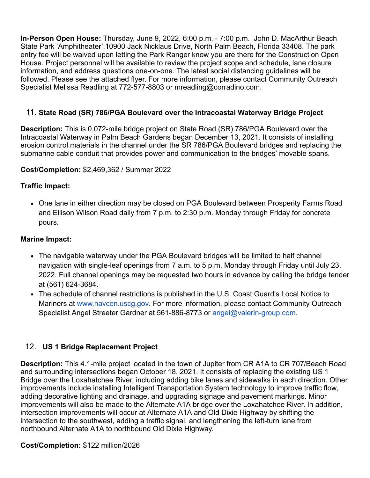**In-Person Open House:** Thursday, June 9, 2022, 6:00 p.m. - 7:00 p.m. John D. MacArthur Beach State Park 'Amphitheater',10900 Jack Nicklaus Drive, North Palm Beach, Florida 33408. The park entry fee will be waived upon letting the Park Ranger know you are there for the Construction Open House. Project personnel will be available to review the project scope and schedule, lane closure information, and address questions one-on-one. The latest social distancing guidelines will be followed. Please see the attached flyer. For more information, please contact Community Outreach Specialist Melissa Readling at 772-577-8803 or [mreadling@corradino.com](mailto:mreadling@corradino.com).

#### 11. **State Road (SR) 786/PGA Boulevard over the Intracoastal Waterway Bridge Project**

**Description:** This is 0.072-mile bridge project on State Road (SR) 786/PGA Boulevard over the Intracoastal Waterway in Palm Beach Gardens began December 13, 2021. It consists of installing erosion control materials in the channel under the SR 786/PGA Boulevard bridges and replacing the submarine cable conduit that provides power and communication to the bridges' movable spans.

#### **Cost/Completion:** \$2,469,362 / Summer 2022

#### **Traffic Impact:**

• One lane in either direction may be closed on PGA Boulevard between Prosperity Farms Road and Ellison Wilson Road daily from 7 p.m. to 2:30 p.m. Monday through Friday for concrete pours.

#### **Marine Impact:**

- The navigable waterway under the PGA Boulevard bridges will be limited to half channel navigation with single-leaf openings from 7 a.m. to 5 p.m. Monday through Friday until July 23, 2022. Full channel openings may be requested two hours in advance by calling the bridge tender at (561) 624-3684.
- The schedule of channel restrictions is published in the U.S. Coast Guard's Local Notice to Mariners at [www.navcen.uscg.gov](https://gcc02.safelinks.protection.outlook.com/?url=http%3A%2F%2Fwww.navcen.uscg.gov%2F&data=05%7C01%7Cguillermo.canedo%40dot.state.fl.us%7C526cd4de1b994d327cd108da457bd999%7Cdb21de5dbc9c420c8f3f8f08f85b5ada%7C0%7C0%7C637898695545428370%7CUnknown%7CTWFpbGZsb3d8eyJWIjoiMC4wLjAwMDAiLCJQIjoiV2luMzIiLCJBTiI6Ik1haWwiLCJXVCI6Mn0%3D%7C3000%7C%7C%7C&sdata=cHV24YVYdl3OWj%2Fu5C0wg4kGcmvSvqeXxxGJmUXUUak%3D&reserved=0). For more information, please contact Community Outreach Specialist Angel Streeter Gardner at 561-886-8773 or [angel@valerin-group.com.](mailto:angel@valerin-group.com)

#### 12. **US 1 Bridge Replacement Project**

**Description:** This 4.1-mile project located in the town of Jupiter from CR A1A to CR 707/Beach Road and surrounding intersections began October 18, 2021. It consists of replacing the existing US 1 Bridge over the Loxahatchee River, including adding bike lanes and sidewalks in each direction. Other improvements include installing Intelligent Transportation System technology to improve traffic flow, adding decorative lighting and drainage, and upgrading signage and pavement markings. Minor improvements will also be made to the Alternate A1A bridge over the Loxahatchee River. In addition, intersection improvements will occur at Alternate A1A and Old Dixie Highway by shifting the intersection to the southwest, adding a traffic signal, and lengthening the left-turn lane from northbound Alternate A1A to northbound Old Dixie Highway.

#### **Cost/Completion:** \$122 million/2026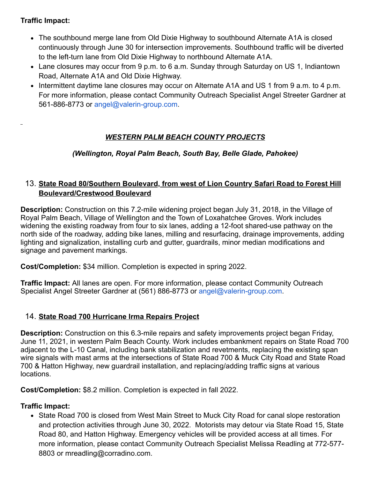### **Traffic Impact:**

- The southbound merge lane from Old Dixie Highway to southbound Alternate A1A is closed continuously through June 30 for intersection improvements. Southbound traffic will be diverted to the left-turn lane from Old Dixie Highway to northbound Alternate A1A.
- Lane closures may occur from 9 p.m. to 6 a.m. Sunday through Saturday on US 1, Indiantown Road, Alternate A1A and Old Dixie Highway.
- Intermittent daytime lane closures may occur on Alternate A1A and US 1 from 9 a.m. to 4 p.m. For more information, please contact Community Outreach Specialist Angel Streeter Gardner at 561-886-8773 or [angel@valerin-group.com.](mailto:angel@valerin-group.com)

# *WESTERN PALM BEACH COUNTY PROJECTS*

*(Wellington, Royal Palm Beach, South Bay, Belle Glade, Pahokee)*

#### 13. **State Road 80/Southern Boulevard, from west of Lion Country Safari Road to Forest Hill Boulevard/Crestwood Boulevard**

**Description:** Construction on this 7.2-mile widening project began July 31, 2018, in the Village of Royal Palm Beach, Village of Wellington and the Town of Loxahatchee Groves. Work includes widening the existing roadway from four to six lanes, adding a 12-foot shared-use pathway on the north side of the roadway, adding bike lanes, milling and resurfacing, drainage improvements, adding lighting and signalization, installing curb and gutter, guardrails, minor median modifications and signage and pavement markings.

**Cost/Completion:** \$34 million. Completion is expected in spring 2022.

**Traffic Impact:** All lanes are open. For more information, please contact Community Outreach Specialist Angel Streeter Gardner at (561) 886-8773 or [angel@valerin-group.com.](mailto:angel@valerin-group.com)

### 14. **State Road 700 Hurricane Irma Repairs Project**

**Description:** Construction on this 6.3-mile repairs and safety improvements project began Friday, June 11, 2021, in western Palm Beach County. Work includes embankment repairs on State Road 700 adjacent to the L-10 Canal, including bank stabilization and revetments, replacing the existing span wire signals with mast arms at the intersections of State Road 700 & Muck City Road and State Road 700 & Hatton Highway, new guardrail installation, and replacing/adding traffic signs at various locations.

**Cost/Completion:** \$8.2 million. Completion is expected in fall 2022.

### **Traffic Impact:**

• State Road 700 is closed from West Main Street to Muck City Road for canal slope restoration and protection activities through June 30, 2022. Motorists may detour via State Road 15, State Road 80, and Hatton Highway. Emergency vehicles will be provided access at all times. For more information, please contact Community Outreach Specialist Melissa Readling at 772-577- 8803 or [mreadling@corradino.com](mailto:mreadling@corradino.com).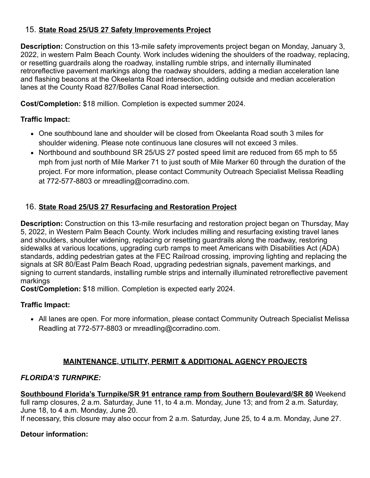### 15. **State Road 25/US 27 Safety Improvements Project**

**Description:** Construction on this 13-mile safety improvements project began on Monday, January 3, 2022, in western Palm Beach County. Work includes widening the shoulders of the roadway, replacing, or resetting guardrails along the roadway, installing rumble strips, and internally illuminated retroreflective pavement markings along the roadway shoulders, adding a median acceleration lane and flashing beacons at the Okeelanta Road intersection, adding outside and median acceleration lanes at the County Road 827/Bolles Canal Road intersection.

**Cost/Completion:** \$18 million. Completion is expected summer 2024.

### **Traffic Impact:**

- One southbound lane and shoulder will be closed from Okeelanta Road south 3 miles for shoulder widening. Please note continuous lane closures will not exceed 3 miles.
- Northbound and southbound SR 25/US 27 posted speed limit are reduced from 65 mph to 55 mph from just north of Mile Marker 71 to just south of Mile Marker 60 through the duration of the project. For more information, please contact Community Outreach Specialist Melissa Readling at 772-577-8803 or [mreadling@corradino.com](mailto:mreadling@corradino.com).

### 16. **State Road 25/US 27 Resurfacing and Restoration Project**

**Description:** Construction on this 13-mile resurfacing and restoration project began on Thursday, May 5, 2022, in Western Palm Beach County. Work includes milling and resurfacing existing travel lanes and shoulders, shoulder widening, replacing or resetting guardrails along the roadway, restoring sidewalks at various locations, upgrading curb ramps to meet Americans with Disabilities Act (ADA) standards, adding pedestrian gates at the FEC Railroad crossing, improving lighting and replacing the signals at SR 80/East Palm Beach Road, upgrading pedestrian signals, pavement markings, and signing to current standards, installing rumble strips and internally illuminated retroreflective pavement markings

**Cost/Completion:** \$18 million. Completion is expected early 2024.

### **Traffic Impact:**

All lanes are open. For more information, please contact Community Outreach Specialist Melissa Readling at 772-577-8803 or [mreadling@corradino.com](mailto:mreadling@corradino.com).

# **MAINTENANCE, UTILITY, PERMIT & ADDITIONAL AGENCY PROJECTS**

### *FLORIDA'S TURNPIKE:*

**Southbound Florida's Turnpike/SR 91 entrance ramp from Southern Boulevard/SR 80** Weekend full ramp closures, 2 a.m. Saturday, June 11, to 4 a.m. Monday, June 13; and from 2 a.m. Saturday, June 18, to 4 a.m. Monday, June 20.

If necessary, this closure may also occur from 2 a.m. Saturday, June 25, to 4 a.m. Monday, June 27.

### **Detour information:**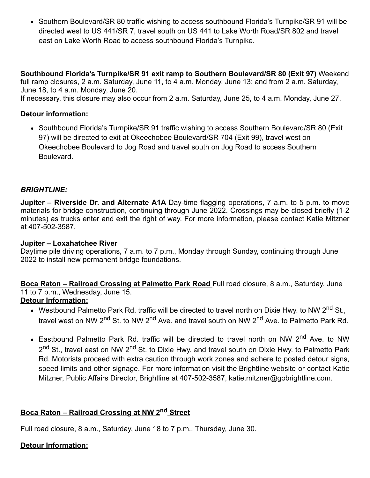• Southern Boulevard/SR 80 traffic wishing to access southbound Florida's Turnpike/SR 91 will be directed west to US 441/SR 7, travel south on US 441 to Lake Worth Road/SR 802 and travel east on Lake Worth Road to access southbound Florida's Turnpike.

**Southbound Florida's Turnpike/SR 91 exit ramp to Southern Boulevard/SR 80 (Exit 97)** Weekend full ramp closures, 2 a.m. Saturday, June 11, to 4 a.m. Monday, June 13; and from 2 a.m. Saturday, June 18, to 4 a.m. Monday, June 20.

If necessary, this closure may also occur from 2 a.m. Saturday, June 25, to 4 a.m. Monday, June 27.

#### **Detour information:**

• Southbound Florida's Turnpike/SR 91 traffic wishing to access Southern Boulevard/SR 80 (Exit 97) will be directed to exit at Okeechobee Boulevard/SR 704 (Exit 99), travel west on Okeechobee Boulevard to Jog Road and travel south on Jog Road to access Southern Boulevard.

#### *BRIGHTLINE:*

**Jupiter – Riverside Dr. and Alternate A1A** Day-time flagging operations, 7 a.m. to 5 p.m. to move materials for bridge construction, continuing through June 2022. Crossings may be closed briefly (1-2 minutes) as trucks enter and exit the right of way. For more information, please contact Katie Mitzner at 407-502-3587.

#### **Jupiter – Loxahatchee River**

Daytime pile driving operations, 7 a.m. to 7 p.m., Monday through Sunday, continuing through June 2022 to install new permanent bridge foundations.

**Boca Raton – Railroad Crossing at Palmetto Park Road** Full road closure, 8 a.m., Saturday, June 11 to 7 p.m., Wednesday, June 15.

#### **Detour Information:**

- Westbound Palmetto Park Rd. traffic will be directed to travel north on Dixie Hwy. to NW 2<sup>nd</sup> St., travel west on NW 2<sup>nd</sup> St. to NW 2<sup>nd</sup> Ave. and travel south on NW 2<sup>nd</sup> Ave. to Palmetto Park Rd.
- Eastbound Palmetto Park Rd. traffic will be directed to travel north on NW 2<sup>nd</sup> Ave. to NW 2<sup>nd</sup> St., travel east on NW 2<sup>nd</sup> St. to Dixie Hwy. and travel south on Dixie Hwy. to Palmetto Park Rd. Motorists proceed with extra caution through work zones and adhere to posted detour signs, speed limits and other signage. For more information visit the [Brightline website](https://gcc02.safelinks.protection.outlook.com/?url=https%3A%2F%2Flinkprotect.cudasvc.com%2Furl%3Fa%3Dhttps%253a%252f%252fwww.gobrightline.com%252frailroad-construction%26c%3DE%2C1%2C3ROIRrcbOpYXZ2mJ6UEgK31Sv0WWMvcZRgWkQK9UaqsxH7xGNifA6cwQgCZ7GHDCpaO0-Tdtp8aw8YQvnrcfKIaUS7qEp9tkYAIkWTng3yX9JS5Ov5kyJC9AGpI%2C%26typo%3D1&data=05%7C01%7Cguillermo.canedo%40dot.state.fl.us%7C526cd4de1b994d327cd108da457bd999%7Cdb21de5dbc9c420c8f3f8f08f85b5ada%7C0%7C0%7C637898695545428370%7CUnknown%7CTWFpbGZsb3d8eyJWIjoiMC4wLjAwMDAiLCJQIjoiV2luMzIiLCJBTiI6Ik1haWwiLCJXVCI6Mn0%3D%7C3000%7C%7C%7C&sdata=%2FkGgyqrSto6BrvQ9%2FJTOD1x3Dk56AYFmAe%2F76YiUJVk%3D&reserved=0) or contact Katie Mitzner, Public Affairs Director, Brightline at 407-502-3587, [katie.mitzner@gobrightline.com](mailto:katie.mitzner@gobrightline.com).

# **Boca Raton – Railroad Crossing at NW 2nd Street**

Full road closure, 8 a.m., Saturday, June 18 to 7 p.m., Thursday, June 30.

#### **Detour Information:**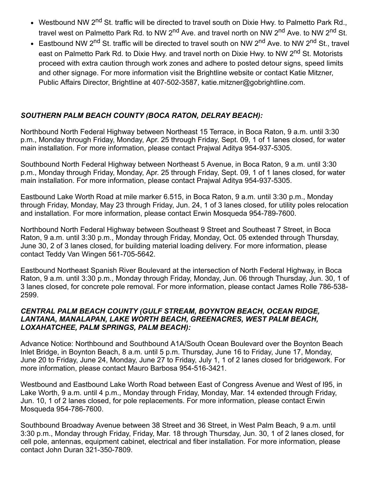- Westbound NW 2<sup>nd</sup> St. traffic will be directed to travel south on Dixie Hwy. to Palmetto Park Rd., travel west on Palmetto Park Rd. to NW 2<sup>nd</sup> Ave. and travel north on NW 2<sup>nd</sup> Ave. to NW 2<sup>nd</sup> St.
- Eastbound NW 2<sup>nd</sup> St. traffic will be directed to travel south on NW 2<sup>nd</sup> Ave. to NW 2<sup>nd</sup> St., travel east on Palmetto Park Rd. to Dixie Hwy. and travel north on Dixie Hwy. to NW 2<sup>nd</sup> St. Motorists proceed with extra caution through work zones and adhere to posted detour signs, speed limits and other signage. For more information visit the [Brightline website](https://gcc02.safelinks.protection.outlook.com/?url=https%3A%2F%2Flinkprotect.cudasvc.com%2Furl%3Fa%3Dhttps%253a%252f%252fwww.gobrightline.com%252frailroad-construction%26c%3DE%2C1%2C3ROIRrcbOpYXZ2mJ6UEgK31Sv0WWMvcZRgWkQK9UaqsxH7xGNifA6cwQgCZ7GHDCpaO0-Tdtp8aw8YQvnrcfKIaUS7qEp9tkYAIkWTng3yX9JS5Ov5kyJC9AGpI%2C%26typo%3D1&data=05%7C01%7Cguillermo.canedo%40dot.state.fl.us%7C526cd4de1b994d327cd108da457bd999%7Cdb21de5dbc9c420c8f3f8f08f85b5ada%7C0%7C0%7C637898695545428370%7CUnknown%7CTWFpbGZsb3d8eyJWIjoiMC4wLjAwMDAiLCJQIjoiV2luMzIiLCJBTiI6Ik1haWwiLCJXVCI6Mn0%3D%7C3000%7C%7C%7C&sdata=%2FkGgyqrSto6BrvQ9%2FJTOD1x3Dk56AYFmAe%2F76YiUJVk%3D&reserved=0) or contact Katie Mitzner, Public Affairs Director, Brightline at 407-502-3587, [katie.mitzner@gobrightline.com.](mailto:katie.mitzner@gobrightline.com)

#### *SOUTHERN PALM BEACH COUNTY (BOCA RATON, DELRAY BEACH):*

Northbound North Federal Highway between Northeast 15 Terrace, in Boca Raton, 9 a.m. until 3:30 p.m., Monday through Friday, Monday, Apr. 25 through Friday, Sept. 09, 1 of 1 lanes closed, for water main installation. For more information, please contact Prajwal Aditya 954-937-5305.

Southbound North Federal Highway between Northeast 5 Avenue, in Boca Raton, 9 a.m. until 3:30 p.m., Monday through Friday, Monday, Apr. 25 through Friday, Sept. 09, 1 of 1 lanes closed, for water main installation. For more information, please contact Prajwal Aditya 954-937-5305.

Eastbound Lake Worth Road at mile marker 6.515, in Boca Raton, 9 a.m. until 3:30 p.m., Monday through Friday, Monday, May 23 through Friday, Jun. 24, 1 of 3 lanes closed, for utility poles relocation and installation. For more information, please contact Erwin Mosqueda 954-789-7600.

Northbound North Federal Highway between Southeast 9 Street and Southeast 7 Street, in Boca Raton, 9 a.m. until 3:30 p.m., Monday through Friday, Monday, Oct. 05 extended through Thursday, June 30, 2 of 3 lanes closed, for building material loading delivery. For more information, please contact Teddy Van Wingen 561-705-5642.

Eastbound Northeast Spanish River Boulevard at the intersection of North Federal Highway, in Boca Raton, 9 a.m. until 3:30 p.m., Monday through Friday, Monday, Jun. 06 through Thursday, Jun. 30, 1 of 3 lanes closed, for concrete pole removal. For more information, please contact James Rolle 786-538- 2599.

#### *CENTRAL PALM BEACH COUNTY (GULF STREAM, BOYNTON BEACH, OCEAN RIDGE, LANTANA, MANALAPAN, LAKE WORTH BEACH, GREENACRES, WEST PALM BEACH, LOXAHATCHEE, PALM SPRINGS, PALM BEACH):*

Advance Notice: Northbound and Southbound A1A/South Ocean Boulevard over the Boynton Beach Inlet Bridge, in Boynton Beach, 8 a.m. until 5 p.m. Thursday, June 16 to Friday, June 17, Monday, June 20 to Friday, June 24, Monday, June 27 to Friday, July 1, 1 of 2 lanes closed for bridgework. For more information, please contact Mauro Barbosa 954-516-3421.

Westbound and Eastbound Lake Worth Road between East of Congress Avenue and West of I95, in Lake Worth, 9 a.m. until 4 p.m., Monday through Friday, Monday, Mar. 14 extended through Friday, Jun. 10, 1 of 2 lanes closed, for pole replacements. For more information, please contact Erwin Mosqueda 954-786-7600.

Southbound Broadway Avenue between 38 Street and 36 Street, in West Palm Beach, 9 a.m. until 3:30 p.m., Monday through Friday, Friday, Mar. 18 through Thursday, Jun. 30, 1 of 2 lanes closed, for cell pole, antennas, equipment cabinet, electrical and fiber installation. For more information, please contact John Duran 321-350-7809.